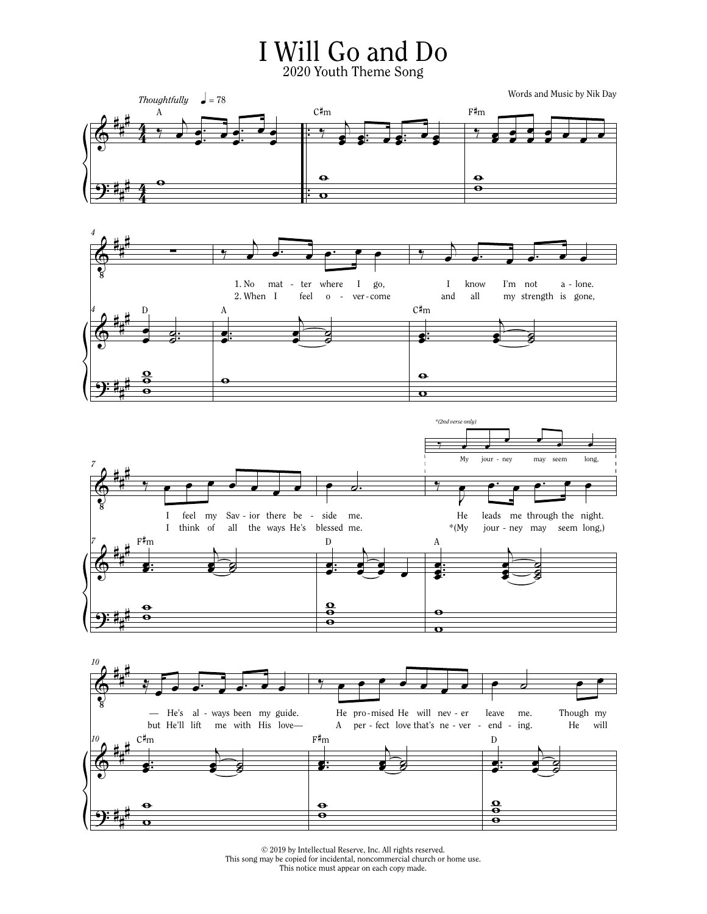## I Will Go and Do

2020 Youth Theme Song









© 2019 by Intellectual Reserve, Inc. All rights reserved. This song may be copied for incidental, noncommercial church or home use. This notice must appear on each copy made.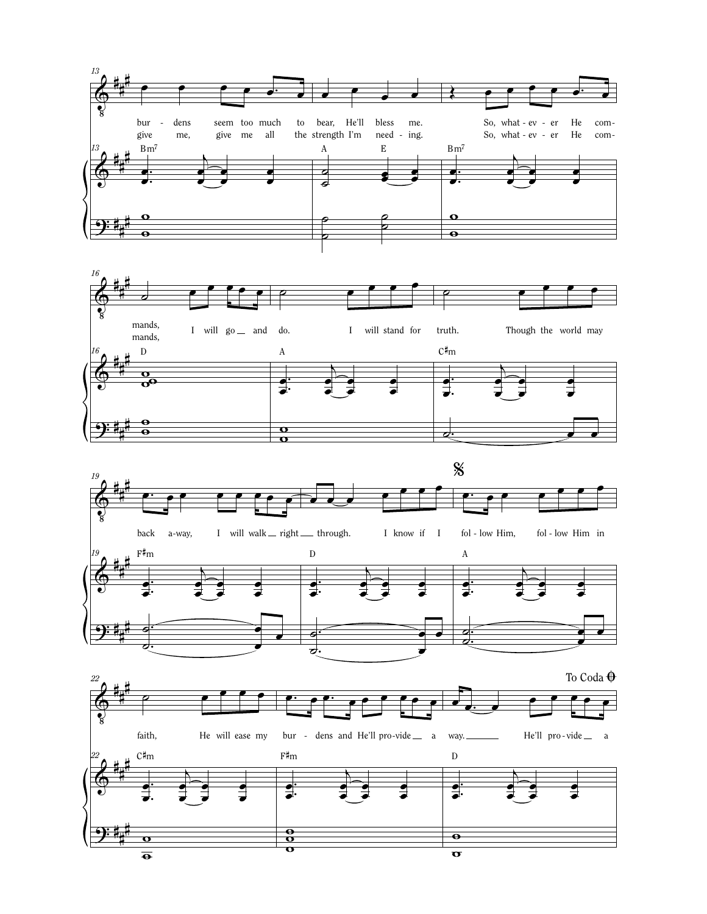





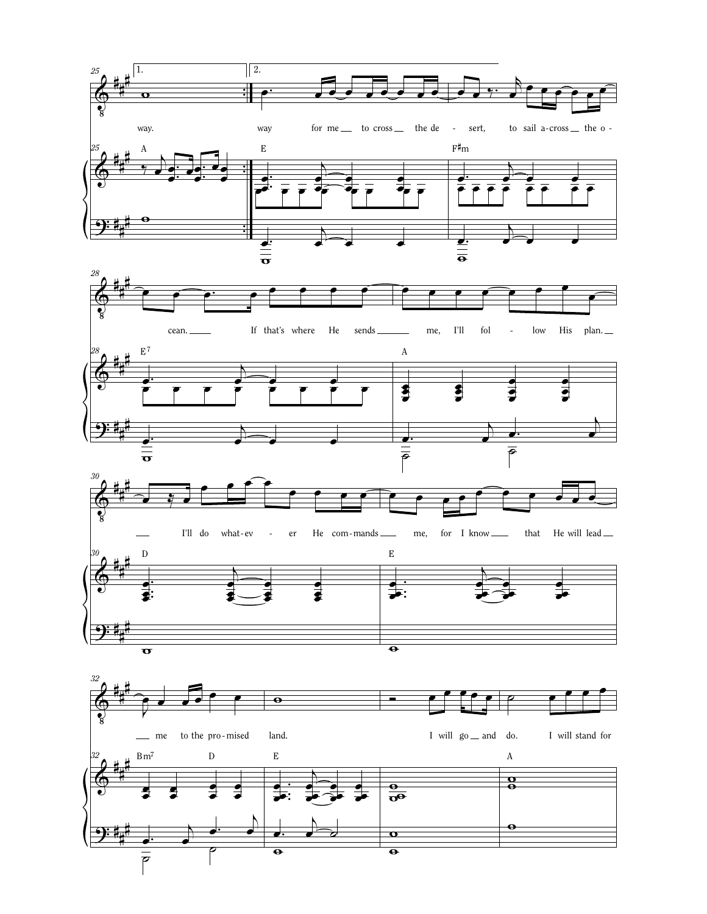